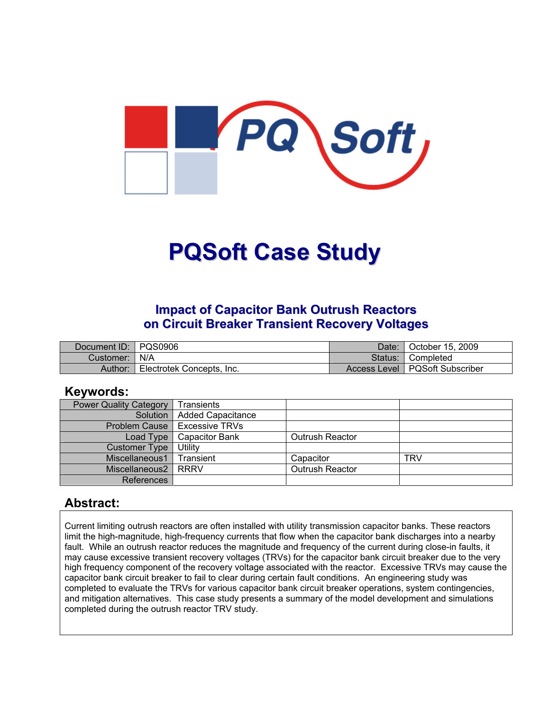

# **PQSoft Case Study**

## **Impact of Capacitor Bank Outrush Reactors on Circuit Breaker Transient Recovery Voltages**

| Document ID: PQS0906 |                           | Date:   | October 15, 2009                 |
|----------------------|---------------------------|---------|----------------------------------|
| Customer:   N/A      |                           | Status: | ¶ Completed                      |
| Author:              | Electrotek Concepts, Inc. |         | Access Level   PQSoft Subscriber |

#### **Keywords:**

| <b>Power Quality Category</b> | <b>Transients</b>                     |                 |            |
|-------------------------------|---------------------------------------|-----------------|------------|
|                               | Solution   Added Capacitance          |                 |            |
|                               | <b>Problem Cause   Excessive TRVs</b> |                 |            |
| Load Type                     | <b>Capacitor Bank</b>                 | Outrush Reactor |            |
| <b>Customer Type</b>          | Utility                               |                 |            |
| Miscellaneous1                | Transient                             | Capacitor       | <b>TRV</b> |
| Miscellaneous2                | l RRRV                                | Outrush Reactor |            |
| References                    |                                       |                 |            |

### **Abstract:**

Current limiting outrush reactors are often installed with utility transmission capacitor banks. These reactors limit the high-magnitude, high-frequency currents that flow when the capacitor bank discharges into a nearby fault. While an outrush reactor reduces the magnitude and frequency of the current during close-in faults, it may cause excessive transient recovery voltages (TRVs) for the capacitor bank circuit breaker due to the very high frequency component of the recovery voltage associated with the reactor. Excessive TRVs may cause the capacitor bank circuit breaker to fail to clear during certain fault conditions. An engineering study was completed to evaluate the TRVs for various capacitor bank circuit breaker operations, system contingencies, and mitigation alternatives. This case study presents a summary of the model development and simulations completed during the outrush reactor TRV study.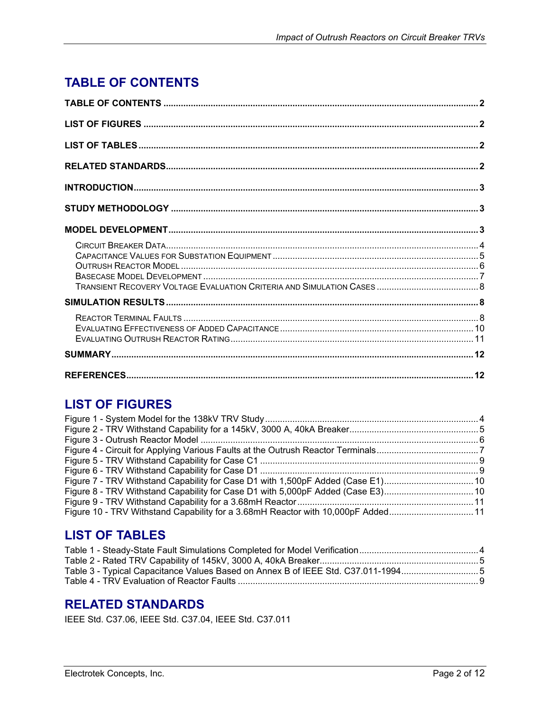# <span id="page-1-0"></span>**TABLE OF CONTENTS**

## **LIST OF FIGURES**

| Figure 7 - TRV Withstand Capability for Case D1 with 1,500pF Added (Case E1)10  |  |
|---------------------------------------------------------------------------------|--|
|                                                                                 |  |
|                                                                                 |  |
| Figure 10 - TRV Withstand Capability for a 3.68mH Reactor with 10,000pF Added11 |  |

## **LIST OF TABLES**

| Table 3 - Typical Capacitance Values Based on Annex B of IEEE Std. C37.011-19945 |  |
|----------------------------------------------------------------------------------|--|
|                                                                                  |  |
|                                                                                  |  |

## **RELATED STANDARDS**

IEEE Std. C37.06, IEEE Std. C37.04, IEEE Std. C37.011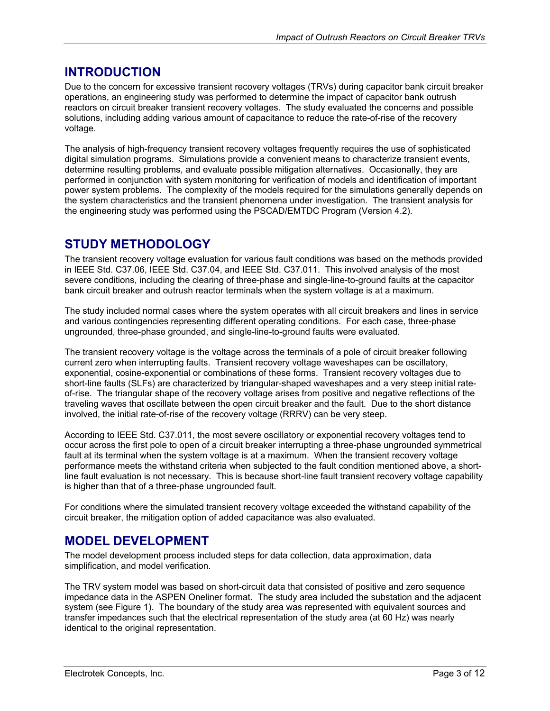## <span id="page-2-0"></span>**INTRODUCTION**

Due to the concern for excessive transient recovery voltages (TRVs) during capacitor bank circuit breaker operations, an engineering study was performed to determine the impact of capacitor bank outrush reactors on circuit breaker transient recovery voltages. The study evaluated the concerns and possible solutions, including adding various amount of capacitance to reduce the rate-of-rise of the recovery voltage.

The analysis of high-frequency transient recovery voltages frequently requires the use of sophisticated digital simulation programs. Simulations provide a convenient means to characterize transient events, determine resulting problems, and evaluate possible mitigation alternatives. Occasionally, they are performed in conjunction with system monitoring for verification of models and identification of important power system problems. The complexity of the models required for the simulations generally depends on the system characteristics and the transient phenomena under investigation. The transient analysis for the engineering study was performed using the PSCAD/EMTDC Program (Version 4.2).

## **STUDY METHODOLOGY**

The transient recovery voltage evaluation for various fault conditions was based on the methods provided in IEEE Std. C37.06, IEEE Std. C37.04, and IEEE Std. C37.011. This involved analysis of the most severe conditions, including the clearing of three-phase and single-line-to-ground faults at the capacitor bank circuit breaker and outrush reactor terminals when the system voltage is at a maximum.

The study included normal cases where the system operates with all circuit breakers and lines in service and various contingencies representing different operating conditions. For each case, three-phase ungrounded, three-phase grounded, and single-line-to-ground faults were evaluated.

The transient recovery voltage is the voltage across the terminals of a pole of circuit breaker following current zero when interrupting faults. Transient recovery voltage waveshapes can be oscillatory, exponential, cosine-exponential or combinations of these forms. Transient recovery voltages due to short-line faults (SLFs) are characterized by triangular-shaped waveshapes and a very steep initial rateof-rise. The triangular shape of the recovery voltage arises from positive and negative reflections of the traveling waves that oscillate between the open circuit breaker and the fault. Due to the short distance involved, the initial rate-of-rise of the recovery voltage (RRRV) can be very steep.

According to IEEE Std. C37.011, the most severe oscillatory or exponential recovery voltages tend to occur across the first pole to open of a circuit breaker interrupting a three-phase ungrounded symmetrical fault at its terminal when the system voltage is at a maximum. When the transient recovery voltage performance meets the withstand criteria when subjected to the fault condition mentioned above, a shortline fault evaluation is not necessary. This is because short-line fault transient recovery voltage capability is higher than that of a three-phase ungrounded fault.

For conditions where the simulated transient recovery voltage exceeded the withstand capability of the circuit breaker, the mitigation option of added capacitance was also evaluated.

## **MODEL DEVELOPMENT**

The model development process included steps for data collection, data approximation, data simplification, and model verification.

The TRV system model was based on short-circuit data that consisted of positive and zero sequence impedance data in the ASPEN Oneliner format. The study area included the substation and the adjacent system (see [Figure 1\)](#page-3-1). The boundary of the study area was represented with equivalent sources and transfer impedances such that the electrical representation of the study area (at 60 Hz) was nearly identical to the original representation.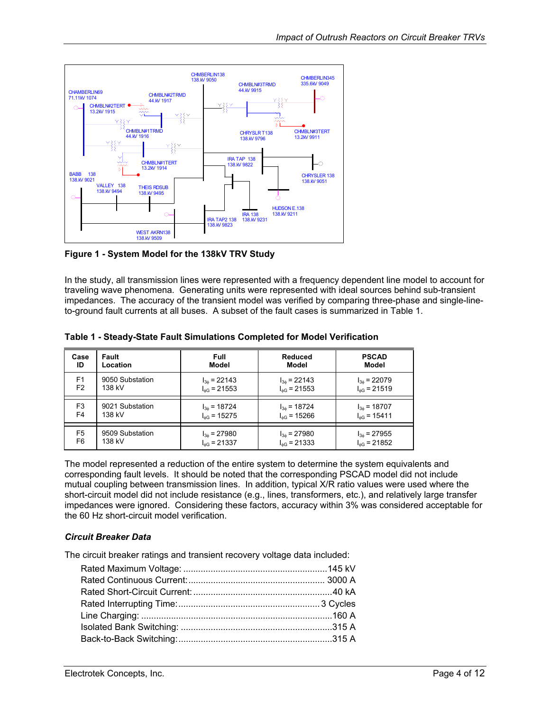<span id="page-3-1"></span><span id="page-3-0"></span>

**Figure 1 - System Model for the 138kV TRV Study**

In the study, all transmission lines were represented with a frequency dependent line model to account for traveling wave phenomena. Generating units were represented with ideal sources behind sub-transient impedances. The accuracy of the transient model was verified by comparing three-phase and single-lineto-ground fault currents at all buses. A subset of the fault cases is summarized in [Table 1.](#page-3-2)

| Case           | <b>Fault</b>    | Full                    | <b>Reduced</b>          | <b>PSCAD</b>            |
|----------------|-----------------|-------------------------|-------------------------|-------------------------|
| ID             | Location        | Model                   | Model                   | Model                   |
| F1             | 9050 Substation | $I_{36}$ = 22143        | $I_{36}$ = 22143        | $I_{36}$ = 22079        |
| F <sub>2</sub> | 138 kV          | $I_{\text{AG}}$ = 21553 | $I_{\text{AG}}$ = 21553 | $I_{\text{dG}}$ = 21519 |
| F3             | 9021 Substation | $I_{3\phi}$ = 18724     | $I_{36}$ = 18724        | $I_{36}$ = 18707        |
| F4             | 138 kV          | $I_{\text{dG}}$ = 15275 | $I_{\text{AG}}$ = 15266 | $I_{\phi G}$ = 15411    |
| F5             | 9509 Substation | $I_{36} = 27980$        | $I_{36} = 27980$        | $I_{36}$ = 27955        |
| F6             | 138 kV          | $I_{AG}$ = 21337        | $I_{\text{AG}}$ = 21333 | $I_{\text{dG}}$ = 21852 |

<span id="page-3-2"></span>**Table 1 - Steady-State Fault Simulations Completed for Model Verification** 

The model represented a reduction of the entire system to determine the system equivalents and corresponding fault levels. It should be noted that the corresponding PSCAD model did not include mutual coupling between transmission lines. In addition, typical X/R ratio values were used where the short-circuit model did not include resistance (e.g., lines, transformers, etc.), and relatively large transfer impedances were ignored. Considering these factors, accuracy within 3% was considered acceptable for the 60 Hz short-circuit model verification.

#### *Circuit Breaker Data*

The circuit breaker ratings and transient recovery voltage data included: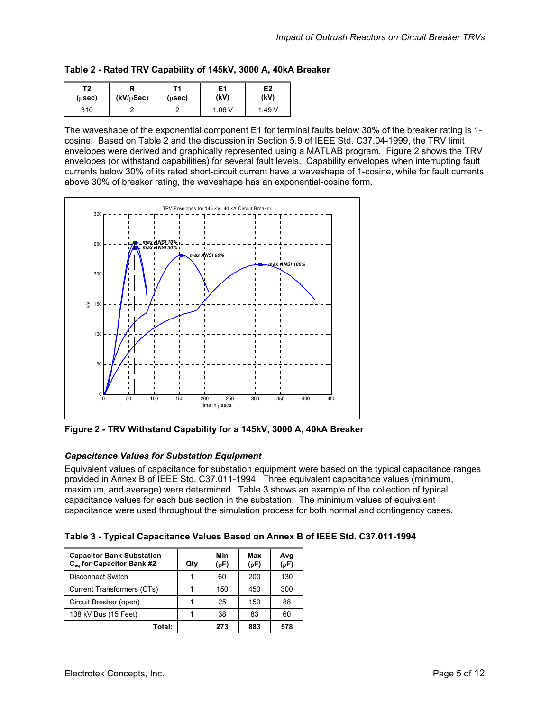<span id="page-4-1"></span><span id="page-4-0"></span>

|  |  | Table 2 - Rated TRV Capability of 145kV, 3000 A, 40kA Breaker |
|--|--|---------------------------------------------------------------|
|  |  |                                                               |

| Τ2             | $(kV/\mu Sec)$ | г4     | E1     | E2     |
|----------------|----------------|--------|--------|--------|
| $(\mu$ sec $)$ |                | (µsec) | (kV)   | (kV)   |
| 310            |                |        | 1.06 V | ∣.49 V |

The waveshape of the exponential component E1 for terminal faults below 30% of the breaker rating is 1 cosine. Based on [Table 2](#page-4-1) and the discussion in Section 5.9 of IEEE Std. C37.04-1999, the TRV limit envelopes were derived and graphically represented using a MATLAB program. [Figure 2](#page-4-2) shows the TRV envelopes (or withstand capabilities) for several fault levels. Capability envelopes when interrupting fault currents below 30% of its rated short-circuit current have a waveshape of 1-cosine, while for fault currents above 30% of breaker rating, the waveshape has an exponential-cosine form.

<span id="page-4-2"></span>

**Figure 2 - TRV Withstand Capability for a 145kV, 3000 A, 40kA Breaker** 

#### *Capacitance Values for Substation Equipment*

Equivalent values of capacitance for substation equipment were based on the typical capacitance ranges provided in Annex B of IEEE Std. C37.011-1994. Three equivalent capacitance values (minimum, maximum, and average) were determined. [Table 3](#page-4-3) shows an example of the collection of typical capacitance values for each bus section in the substation. The minimum values of equivalent capacitance were used throughout the simulation process for both normal and contingency cases.

<span id="page-4-3"></span>

|  | Table 3 - Typical Capacitance Values Based on Annex B of IEEE Std. C37.011-1994 |  |  |  |  |
|--|---------------------------------------------------------------------------------|--|--|--|--|
|  |                                                                                 |  |  |  |  |

| <b>Capacitor Bank Substation</b><br>C <sub>eq</sub> for Capacitor Bank #2 | Qtv | Min<br>(pF) | Max<br>(pF) | Avg<br>(pF) |
|---------------------------------------------------------------------------|-----|-------------|-------------|-------------|
| <b>Disconnect Switch</b>                                                  |     | 60          | 200         | 130         |
| Current Transformers (CTs)                                                |     | 150         | 450         | 300         |
| Circuit Breaker (open)                                                    |     | 25          | 150         | 88          |
| 138 kV Bus (15 Feet)                                                      |     | 38          | 83          | 60          |
| Total:                                                                    |     | 273         | 883         | 578         |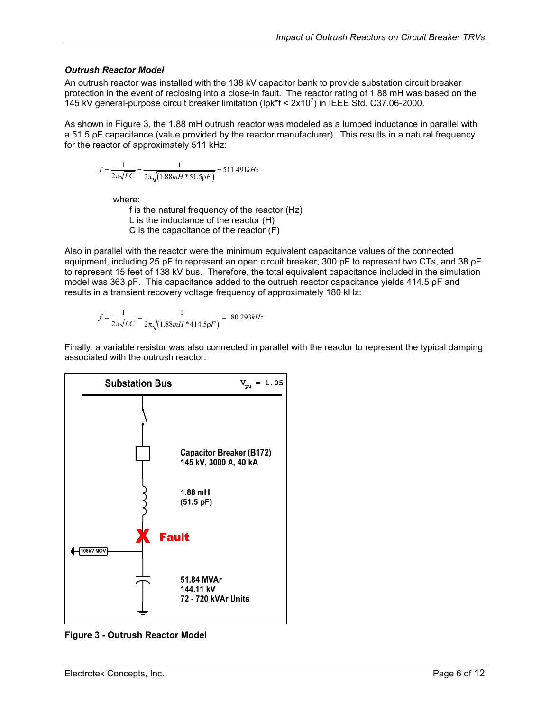#### <span id="page-5-0"></span>*Outrush Reactor Model*

An outrush reactor was installed with the 138 kV capacitor bank to provide substation circuit breaker protection in the event of reclosing into a close-in fault. The reactor rating of 1.88 mH was based on the 145 kV general-purpose circuit breaker limitation (lpk\*f <  $2x10<sup>7</sup>$ ) in IEEE Std. C37.06-2000.

As shown in [Figure 3,](#page-5-1) the 1.88 mH outrush reactor was modeled as a lumped inductance in parallel with a 51.5 ρF capacitance (value provided by the reactor manufacturer). This results in a natural frequency for the reactor of approximately 511 kHz:

$$
f = \frac{1}{2\pi\sqrt{LC}} = \frac{1}{2\pi\sqrt{(1.88mH * 51.5\rho F)}} = 511.491kHz
$$

where:

f is the natural frequency of the reactor (Hz) L is the inductance of the reactor (H) C is the capacitance of the reactor (F)

Also in parallel with the reactor were the minimum equivalent capacitance values of the connected equipment, including 25 ρF to represent an open circuit breaker, 300 ρF to represent two CTs, and 38 ρF to represent 15 feet of 138 kV bus. Therefore, the total equivalent capacitance included in the simulation model was 363 ρF. This capacitance added to the outrush reactor capacitance yields 414.5 ρF and results in a transient recovery voltage frequency of approximately 180 kHz:

$$
f = \frac{1}{2\pi\sqrt{LC}} = \frac{1}{2\pi\sqrt{(1.88mH * 414.5\rho F)}} = 180.293kHz
$$

Finally, a variable resistor was also connected in parallel with the reactor to represent the typical damping associated with the outrush reactor.

<span id="page-5-1"></span>

**Figure 3 - Outrush Reactor Model**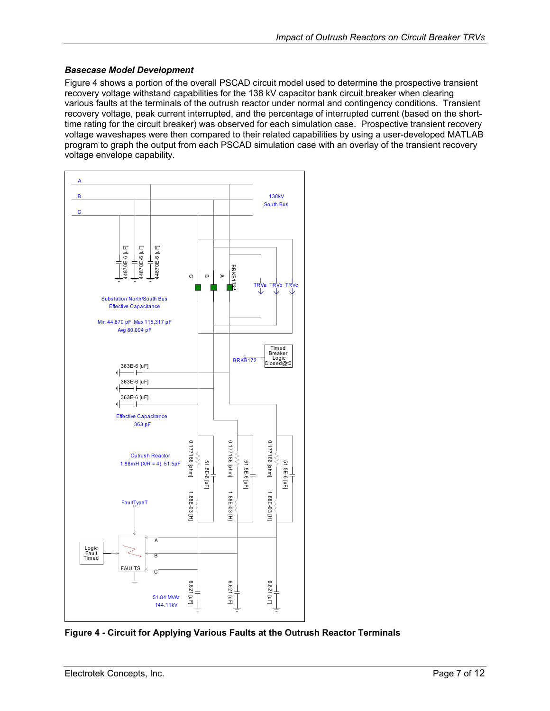#### <span id="page-6-0"></span>*Basecase Model Development*

[Figure 4](#page-6-1) shows a portion of the overall PSCAD circuit model used to determine the prospective transient recovery voltage withstand capabilities for the 138 kV capacitor bank circuit breaker when clearing various faults at the terminals of the outrush reactor under normal and contingency conditions. Transient recovery voltage, peak current interrupted, and the percentage of interrupted current (based on the shorttime rating for the circuit breaker) was observed for each simulation case. Prospective transient recovery voltage waveshapes were then compared to their related capabilities by using a user-developed MATLAB program to graph the output from each PSCAD simulation case with an overlay of the transient recovery voltage envelope capability.

<span id="page-6-1"></span>

**Figure 4 - Circuit for Applying Various Faults at the Outrush Reactor Terminals**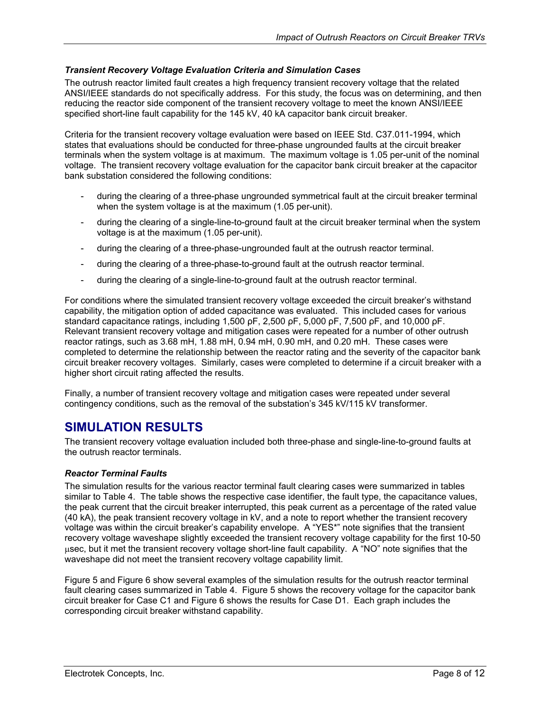#### <span id="page-7-0"></span>*Transient Recovery Voltage Evaluation Criteria and Simulation Cases*

The outrush reactor limited fault creates a high frequency transient recovery voltage that the related ANSI/IEEE standards do not specifically address. For this study, the focus was on determining, and then reducing the reactor side component of the transient recovery voltage to meet the known ANSI/IEEE specified short-line fault capability for the 145 kV, 40 kA capacitor bank circuit breaker.

Criteria for the transient recovery voltage evaluation were based on IEEE Std. C37.011-1994, which states that evaluations should be conducted for three-phase ungrounded faults at the circuit breaker terminals when the system voltage is at maximum. The maximum voltage is 1.05 per-unit of the nominal voltage. The transient recovery voltage evaluation for the capacitor bank circuit breaker at the capacitor bank substation considered the following conditions:

- during the clearing of a three-phase ungrounded symmetrical fault at the circuit breaker terminal when the system voltage is at the maximum (1.05 per-unit).
- during the clearing of a single-line-to-ground fault at the circuit breaker terminal when the system voltage is at the maximum (1.05 per-unit).
- during the clearing of a three-phase-ungrounded fault at the outrush reactor terminal.
- during the clearing of a three-phase-to-ground fault at the outrush reactor terminal.
- during the clearing of a single-line-to-ground fault at the outrush reactor terminal.

For conditions where the simulated transient recovery voltage exceeded the circuit breaker's withstand capability, the mitigation option of added capacitance was evaluated. This included cases for various standard capacitance ratings, including 1,500 ρF, 2,500 ρF, 5,000 ρF, 7,500 ρF, and 10,000 ρF. Relevant transient recovery voltage and mitigation cases were repeated for a number of other outrush reactor ratings, such as 3.68 mH, 1.88 mH, 0.94 mH, 0.90 mH, and 0.20 mH. These cases were completed to determine the relationship between the reactor rating and the severity of the capacitor bank circuit breaker recovery voltages. Similarly, cases were completed to determine if a circuit breaker with a higher short circuit rating affected the results.

Finally, a number of transient recovery voltage and mitigation cases were repeated under several contingency conditions, such as the removal of the substation's 345 kV/115 kV transformer.

## **SIMULATION RESULTS**

The transient recovery voltage evaluation included both three-phase and single-line-to-ground faults at the outrush reactor terminals.

#### *Reactor Terminal Faults*

The simulation results for the various reactor terminal fault clearing cases were summarized in tables similar to [Table 4.](#page-8-1) The table shows the respective case identifier, the fault type, the capacitance values, the peak current that the circuit breaker interrupted, this peak current as a percentage of the rated value (40 kA), the peak transient recovery voltage in kV, and a note to report whether the transient recovery voltage was within the circuit breaker's capability envelope. A "YES\*" note signifies that the transient recovery voltage waveshape slightly exceeded the transient recovery voltage capability for the first 10-50 µsec, but it met the transient recovery voltage short-line fault capability. A "NO" note signifies that the waveshape did not meet the transient recovery voltage capability limit.

[Figure 5](#page-8-2) and [Figure 6](#page-8-3) show several examples of the simulation results for the outrush reactor terminal fault clearing cases summarized in [Table 4.](#page-8-1) [Figure 5](#page-8-2) shows the recovery voltage for the capacitor bank circuit breaker for Case C1 and [Figure 6](#page-8-3) shows the results for Case D1. Each graph includes the corresponding circuit breaker withstand capability.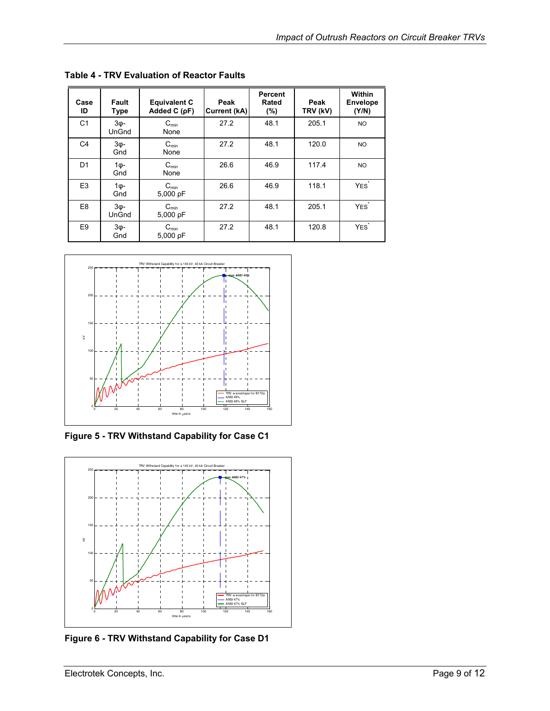| Case<br>ID     | Fault<br><b>Type</b> | <b>Equivalent C</b><br>Added C $(pF)$ | Peak<br><b>Current (kA)</b> | <b>Percent</b><br>Rated<br>(%) | Peak<br>TRV (kV) | Within<br><b>Envelope</b><br>(Y/N) |
|----------------|----------------------|---------------------------------------|-----------------------------|--------------------------------|------------------|------------------------------------|
| C <sub>1</sub> | ЗΦ-<br>UnGnd         | $C_{\text{min}}$<br>None              | 27.2                        | 48.1                           | 205.1            | <b>NO</b>                          |
| C <sub>4</sub> | $30$ -<br>Gnd        | $C_{min}$<br>None                     | 27.2                        | 48.1                           | 120.0            | NO.                                |
| D1             | 1ф-<br>Gnd           | $C_{\text{min}}$<br>None              | 26.6                        | 46.9                           | 117.4            | <b>NO</b>                          |
| E <sub>3</sub> | 1ф-<br>Gnd           | $C_{\text{min}}$<br>5,000 pF          | 26.6                        | 46.9                           | 118.1            | YES <sup>*</sup>                   |
| E <sub>8</sub> | ЗΦ-<br>UnGnd         | $C_{min}$<br>5,000 pF                 | 27.2                        | 48.1                           | 205.1            | YES <sup>*</sup>                   |
| E <sub>9</sub> | $30$ -<br>Gnd        | $C_{\text{min}}$<br>5,000 $pF$        | 27.2                        | 48.1                           | 120.8            | YES <sup>*</sup>                   |

<span id="page-8-1"></span><span id="page-8-0"></span>**Table 4 - TRV Evaluation of Reactor Faults** 

<span id="page-8-2"></span>

**Figure 5 - TRV Withstand Capability for Case C1** 

<span id="page-8-3"></span>

**Figure 6 - TRV Withstand Capability for Case D1**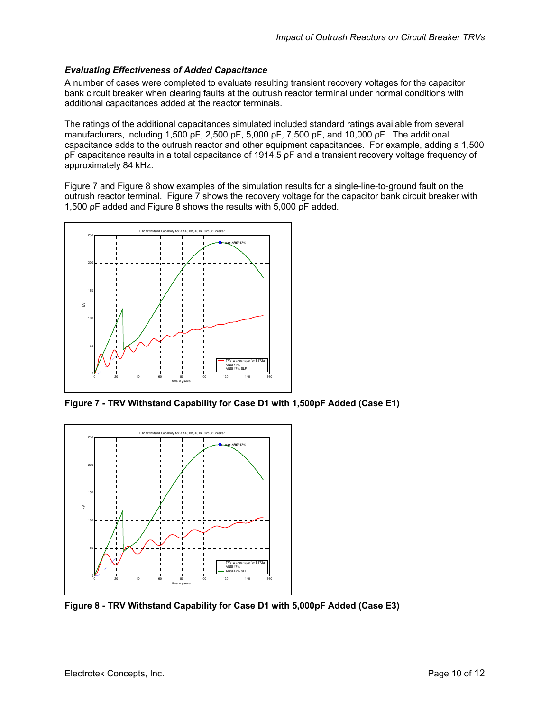#### <span id="page-9-0"></span>*Evaluating Effectiveness of Added Capacitance*

A number of cases were completed to evaluate resulting transient recovery voltages for the capacitor bank circuit breaker when clearing faults at the outrush reactor terminal under normal conditions with additional capacitances added at the reactor terminals.

The ratings of the additional capacitances simulated included standard ratings available from several manufacturers, including 1,500 ρF, 2,500 ρF, 5,000 ρF, 7,500 ρF, and 10,000 ρF. The additional capacitance adds to the outrush reactor and other equipment capacitances. For example, adding a 1,500 ρF capacitance results in a total capacitance of 1914.5 ρF and a transient recovery voltage frequency of approximately 84 kHz.

[Figure 7](#page-9-1) and [Figure 8](#page-9-2) show examples of the simulation results for a single-line-to-ground fault on the outrush reactor terminal. [Figure 7](#page-9-1) shows the recovery voltage for the capacitor bank circuit breaker with 1,500 ρF added and [Figure 8](#page-9-2) shows the results with 5,000 ρF added.

<span id="page-9-1"></span>

**Figure 7 - TRV Withstand Capability for Case D1 with 1,500pF Added (Case E1)** 

<span id="page-9-2"></span>

**Figure 8 - TRV Withstand Capability for Case D1 with 5,000pF Added (Case E3)**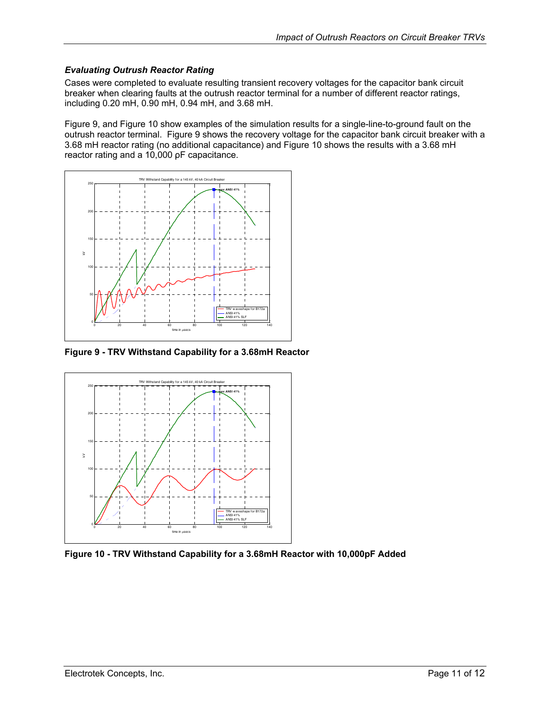#### <span id="page-10-0"></span>*Evaluating Outrush Reactor Rating*

Cases were completed to evaluate resulting transient recovery voltages for the capacitor bank circuit breaker when clearing faults at the outrush reactor terminal for a number of different reactor ratings, including 0.20 mH, 0.90 mH, 0.94 mH, and 3.68 mH.

[Figure 9,](#page-10-1) and [Figure 10](#page-10-2) show examples of the simulation results for a single-line-to-ground fault on the outrush reactor terminal. [Figure 9](#page-10-1) shows the recovery voltage for the capacitor bank circuit breaker with a 3.68 mH reactor rating (no additional capacitance) and [Figure 10](#page-10-2) shows the results with a 3.68 mH reactor rating and a 10,000 ρF capacitance.

<span id="page-10-1"></span>

**Figure 9 - TRV Withstand Capability for a 3.68mH Reactor** 

<span id="page-10-2"></span>

**Figure 10 - TRV Withstand Capability for a 3.68mH Reactor with 10,000pF Added**